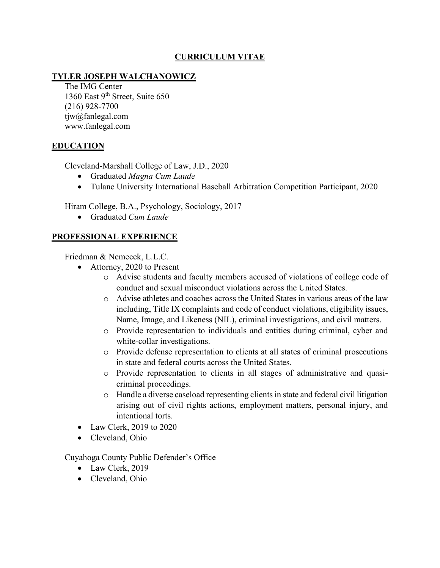# **CURRICULUM VITAE**

# **TYLER JOSEPH WALCHANOWICZ**

The IMG Center 1360 East 9<sup>th</sup> Street, Suite 650 (216) 928-7700 tjw@fanlegal.com www.fanlegal.com

## **EDUCATION**

Cleveland-Marshall College of Law, J.D., 2020

- Graduated *Magna Cum Laude*
- Tulane University International Baseball Arbitration Competition Participant, 2020

Hiram College, B.A., Psychology, Sociology, 2017

• Graduated *Cum Laude*

# **PROFESSIONAL EXPERIENCE**

Friedman & Nemecek, L.L.C.

- Attorney, 2020 to Present
	- o Advise students and faculty members accused of violations of college code of conduct and sexual misconduct violations across the United States.
	- o Advise athletes and coaches across the United States in various areas of the law including, Title IX complaints and code of conduct violations, eligibility issues, Name, Image, and Likeness (NIL), criminal investigations, and civil matters.
	- o Provide representation to individuals and entities during criminal, cyber and white-collar investigations.
	- o Provide defense representation to clients at all states of criminal prosecutions in state and federal courts across the United States.
	- o Provide representation to clients in all stages of administrative and quasicriminal proceedings.
	- o Handle a diverse caseload representing clients in state and federal civil litigation arising out of civil rights actions, employment matters, personal injury, and intentional torts.
- Law Clerk, 2019 to 2020
- Cleveland, Ohio

Cuyahoga County Public Defender's Office

- Law Clerk, 2019
- Cleveland, Ohio